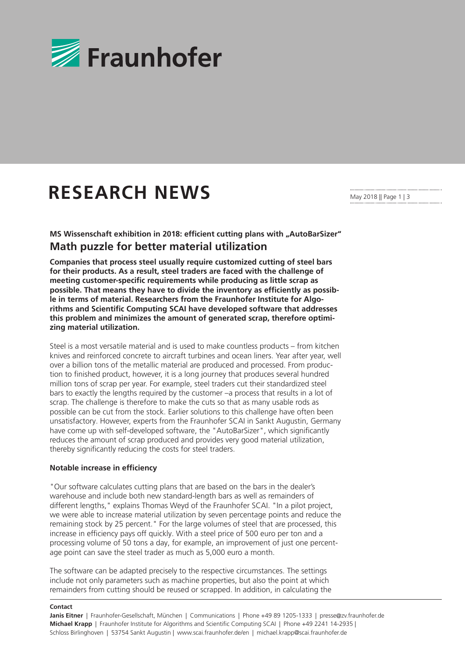

## **RESEARCH NEWS**

May 2018 || Page 1 | 3

**MS Wissenschaft exhibition in 2018: efficient cutting plans with "AutoBarSizer" Math puzzle for better material utilization**

**Companies that process steel usually require customized cutting of steel bars for their products. As a result, steel traders are faced with the challenge of meeting customer-specific requirements while producing as little scrap as possible. That means they have to divide the inventory as efficiently as possible in terms of material. Researchers from the Fraunhofer Institute for Algorithms and Scientific Computing SCAI have developed software that addresses this problem and minimizes the amount of generated scrap, therefore optimizing material utilization.**

Steel is a most versatile material and is used to make countless products – from kitchen knives and reinforced concrete to aircraft turbines and ocean liners. Year after year, well over a billion tons of the metallic material are produced and processed. From production to finished product, however, it is a long journey that produces several hundred million tons of scrap per year. For example, steel traders cut their standardized steel bars to exactly the lengths required by the customer –a process that results in a lot of scrap. The challenge is therefore to make the cuts so that as many usable rods as possible can be cut from the stock. Earlier solutions to this challenge have often been unsatisfactory. However, experts from the Fraunhofer SCAI in Sankt Augustin, Germany have come up with self-developed software, the "AutoBarSizer", which significantly reduces the amount of scrap produced and provides very good material utilization, thereby significantly reducing the costs for steel traders.

## **Notable increase in efficiency**

"Our software calculates cutting plans that are based on the bars in the dealer's warehouse and include both new standard-length bars as well as remainders of different lengths," explains Thomas Weyd of the Fraunhofer SCAI. "In a pilot project, we were able to increase material utilization by seven percentage points and reduce the remaining stock by 25 percent." For the large volumes of steel that are processed, this increase in efficiency pays off quickly. With a steel price of 500 euro per ton and a processing volume of 50 tons a day, for example, an improvement of just one percentage point can save the steel trader as much as 5,000 euro a month.

The software can be adapted precisely to the respective circumstances. The settings include not only parameters such as machine properties, but also the point at which remainders from cutting should be reused or scrapped. In addition, in calculating the

## **Contact**

**Janis Eitner** | Fraunhofer-Gesellschaft, München | Communications | Phone +49 89 1205-1333 | presse@zv.fraunhofer.de **Michael Krapp** | Fraunhofer Institute for Algorithms and Scientific Computing SCAI | Phone +49 2241 14-2935 | Schloss Birlinghoven | 53754 Sankt Augustin | www.scai.fraunhofer.de/en | michael.krapp@scai.fraunhofer.de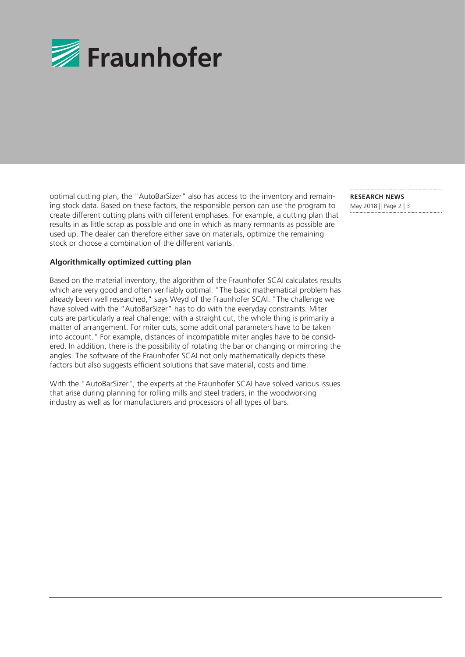

optimal cutting plan, the "AutoBarSizer" also has access to the inventory and remaining stock data. Based on these factors, the responsible person can use the program to create different cutting plans with different emphases. For example, a cutting plan that results in as little scrap as possible and one in which as many remnants as possible are used up. The dealer can therefore either save on materials, optimize the remaining stock or choose a combination of the different variants.

## **Algorithmically optimized cutting plan**

Based on the material inventory, the algorithm of the Fraunhofer SCAI calculates results which are very good and often verifiably optimal. "The basic mathematical problem has already been well researched," says Weyd of the Fraunhofer SCAI. "The challenge we have solved with the "AutoBarSizer" has to do with the everyday constraints. Miter cuts are particularly a real challenge: with a straight cut, the whole thing is primarily a matter of arrangement. For miter cuts, some additional parameters have to be taken into account." For example, distances of incompatible miter angles have to be considered. In addition, there is the possibility of rotating the bar or changing or mirroring the angles. The software of the Fraunhofer SCAI not only mathematically depicts these factors but also suggests efficient solutions that save material, costs and time.

With the "AutoBarSizer", the experts at the Fraunhofer SCAI have solved various issues that arise during planning for rolling mills and steel traders, in the woodworking industry as well as for manufacturers and processors of all types of bars.

**RESEARCH NEWS**  May 2018 || Page 2 | 3